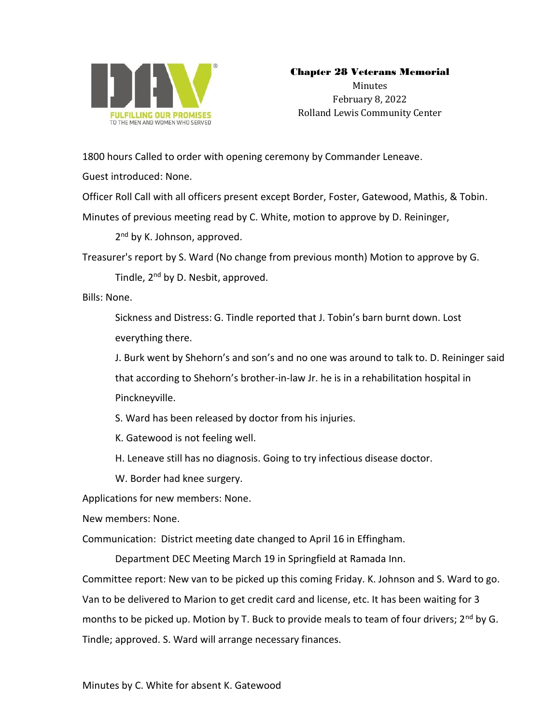

## Chapter 28 Veterans Memorial

Minutes February 8, 2022 Rolland Lewis Community Center

1800 hours Called to order with opening ceremony by Commander Leneave.

Guest introduced: None.

Officer Roll Call with all officers present except Border, Foster, Gatewood, Mathis, & Tobin.

Minutes of previous meeting read by C. White, motion to approve by D. Reininger,

2<sup>nd</sup> by K. Johnson, approved.

Treasurer's report by S. Ward (No change from previous month) Motion to approve by G.

Tindle, 2<sup>nd</sup> by D. Nesbit, approved.

Bills: None.

Sickness and Distress: G. Tindle reported that J. Tobin's barn burnt down. Lost everything there.

J. Burk went by Shehorn's and son's and no one was around to talk to. D. Reininger said

that according to Shehorn's brother-in-law Jr. he is in a rehabilitation hospital in Pinckneyville.

- S. Ward has been released by doctor from his injuries.
- K. Gatewood is not feeling well.
- H. Leneave still has no diagnosis. Going to try infectious disease doctor.
- W. Border had knee surgery.

Applications for new members: None.

New members: None.

Communication: District meeting date changed to April 16 in Effingham.

Department DEC Meeting March 19 in Springfield at Ramada Inn.

Committee report: New van to be picked up this coming Friday. K. Johnson and S. Ward to go. Van to be delivered to Marion to get credit card and license, etc. It has been waiting for 3 months to be picked up. Motion by T. Buck to provide meals to team of four drivers; 2<sup>nd</sup> by G. Tindle; approved. S. Ward will arrange necessary finances.